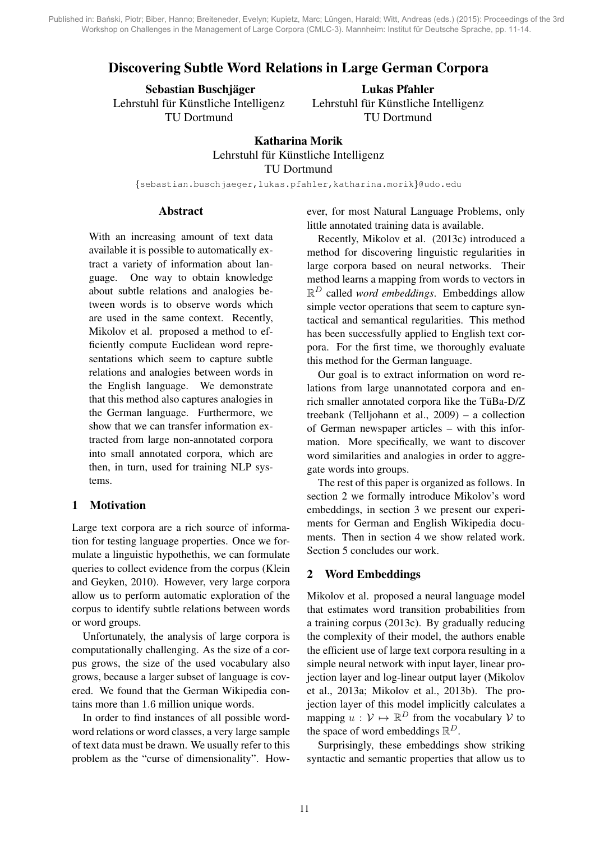# Discovering Subtle Word Relations in Large German Corpora

Sebastian Buschjäger Lehrstuhl für Künstliche Intelligenz TU Dortmund

Lukas Pfahler Lehrstuhl für Künstliche Intelligenz TU Dortmund

# Katharina Morik Lehrstuhl für Künstliche Intelligenz TU Dortmund

{sebastian.buschjaeger,lukas.pfahler,katharina.morik}@udo.edu

### **Abstract**

With an increasing amount of text data available it is possible to automatically extract a variety of information about language. One way to obtain knowledge about subtle relations and analogies between words is to observe words which are used in the same context. Recently, Mikolov et al. proposed a method to efficiently compute Euclidean word representations which seem to capture subtle relations and analogies between words in the English language. We demonstrate that this method also captures analogies in the German language. Furthermore, we show that we can transfer information extracted from large non-annotated corpora into small annotated corpora, which are then, in turn, used for training NLP systems.

# 1 Motivation

Large text corpora are a rich source of information for testing language properties. Once we formulate a linguistic hypothethis, we can formulate queries to collect evidence from the corpus (Klein and Geyken, 2010). However, very large corpora allow us to perform automatic exploration of the corpus to identify subtle relations between words or word groups.

Unfortunately, the analysis of large corpora is computationally challenging. As the size of a corpus grows, the size of the used vocabulary also grows, because a larger subset of language is covered. We found that the German Wikipedia contains more than 1.6 million unique words.

In order to find instances of all possible wordword relations or word classes, a very large sample of text data must be drawn. We usually refer to this problem as the "curse of dimensionality". However, for most Natural Language Problems, only little annotated training data is available.

Recently, Mikolov et al. (2013c) introduced a method for discovering linguistic regularities in large corpora based on neural networks. Their method learns a mapping from words to vectors in R <sup>D</sup> called *word embeddings*. Embeddings allow simple vector operations that seem to capture syntactical and semantical regularities. This method has been successfully applied to English text corpora. For the first time, we thoroughly evaluate this method for the German language.

Our goal is to extract information on word relations from large unannotated corpora and enrich smaller annotated corpora like the TüBa- $D/Z$ treebank (Telljohann et al., 2009) – a collection of German newspaper articles – with this information. More specifically, we want to discover word similarities and analogies in order to aggregate words into groups.

The rest of this paper is organized as follows. In section 2 we formally introduce Mikolov's word embeddings, in section 3 we present our experiments for German and English Wikipedia documents. Then in section 4 we show related work. Section 5 concludes our work.

# 2 Word Embeddings

Mikolov et al. proposed a neural language model that estimates word transition probabilities from a training corpus (2013c). By gradually reducing the complexity of their model, the authors enable the efficient use of large text corpora resulting in a simple neural network with input layer, linear projection layer and log-linear output layer (Mikolov et al., 2013a; Mikolov et al., 2013b). The projection layer of this model implicitly calculates a mapping  $u : \mathcal{V} \mapsto \mathbb{R}^D$  from the vocabulary  $\mathcal{V}$  to the space of word embeddings  $\mathbb{R}^D$ .

Surprisingly, these embeddings show striking syntactic and semantic properties that allow us to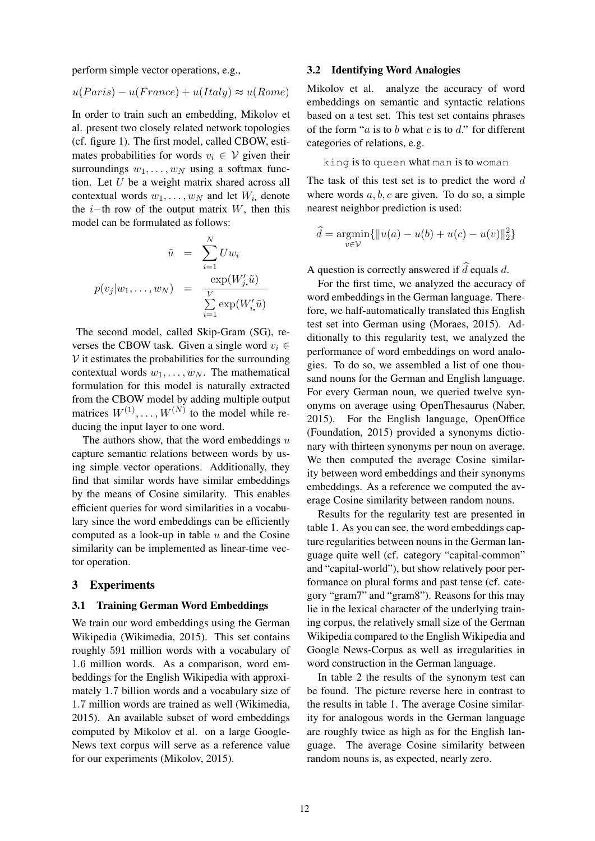perform simple vector operations, e.g.,

$$
u(Paris) - u(France) + u(Italy) \approx u(Rome)
$$

In order to train such an embedding, Mikolov et al. present two closely related network topologies (cf. figure 1). The first model, called CBOW, estimates probabilities for words  $v_i \in V$  given their surroundings  $w_1, \ldots, w_N$  using a softmax function. Let  $U$  be a weight matrix shared across all contextual words  $w_1, \ldots, w_N$  and let  $W_i$ , denote the *i*−th row of the output matrix  $W$ , then this model can be formulated as follows:

$$
\tilde{u} = \sum_{i=1}^{N} U w_i
$$

$$
p(v_j|w_1, \dots, w_N) = \frac{\exp(W'_j, \tilde{u})}{\sum_{i=1}^{V} \exp(W'_i, \tilde{u})}
$$

The second model, called Skip-Gram (SG), reverses the CBOW task. Given a single word  $v_i \in$  $V$  it estimates the probabilities for the surrounding contextual words  $w_1, \ldots, w_N$ . The mathematical formulation for this model is naturally extracted from the CBOW model by adding multiple output matrices  $W^{(1)}, \ldots, W^{(N)}$  to the model while reducing the input layer to one word.

The authors show, that the word embeddings  $u$ capture semantic relations between words by using simple vector operations. Additionally, they find that similar words have similar embeddings by the means of Cosine similarity. This enables efficient queries for word similarities in a vocabulary since the word embeddings can be efficiently computed as a look-up in table  $u$  and the Cosine similarity can be implemented as linear-time vector operation.

#### 3 Experiments

#### 3.1 Training German Word Embeddings

We train our word embeddings using the German Wikipedia (Wikimedia, 2015). This set contains roughly 591 million words with a vocabulary of 1.6 million words. As a comparison, word embeddings for the English Wikipedia with approximately 1.7 billion words and a vocabulary size of 1.7 million words are trained as well (Wikimedia, 2015). An available subset of word embeddings computed by Mikolov et al. on a large Google-News text corpus will serve as a reference value for our experiments (Mikolov, 2015).

#### 3.2 Identifying Word Analogies

Mikolov et al. analyze the accuracy of word embeddings on semantic and syntactic relations based on a test set. This test set contains phrases of the form " $a$  is to  $b$  what  $c$  is to  $d$ ." for different categories of relations, e.g.

king is to queen what man is to woman

The task of this test set is to predict the word  $d$ where words  $a, b, c$  are given. To do so, a simple nearest neighbor prediction is used:

$$
\hat{d} = \underset{v \in \mathcal{V}}{\text{argmin}} \{ ||u(a) - u(b) + u(c) - u(v)||_2^2 \}
$$

A question is correctly answered if  $\hat{d}$  equals d.

For the first time, we analyzed the accuracy of word embeddings in the German language. Therefore, we half-automatically translated this English test set into German using (Moraes, 2015). Additionally to this regularity test, we analyzed the performance of word embeddings on word analogies. To do so, we assembled a list of one thousand nouns for the German and English language. For every German noun, we queried twelve synonyms on average using OpenThesaurus (Naber, 2015). For the English language, OpenOffice (Foundation, 2015) provided a synonyms dictionary with thirteen synonyms per noun on average. We then computed the average Cosine similarity between word embeddings and their synonyms embeddings. As a reference we computed the average Cosine similarity between random nouns.

Results for the regularity test are presented in table 1. As you can see, the word embeddings capture regularities between nouns in the German language quite well (cf. category "capital-common" and "capital-world"), but show relatively poor performance on plural forms and past tense (cf. category "gram7" and "gram8"). Reasons for this may lie in the lexical character of the underlying training corpus, the relatively small size of the German Wikipedia compared to the English Wikipedia and Google News-Corpus as well as irregularities in word construction in the German language.

In table 2 the results of the synonym test can be found. The picture reverse here in contrast to the results in table 1. The average Cosine similarity for analogous words in the German language are roughly twice as high as for the English language. The average Cosine similarity between random nouns is, as expected, nearly zero.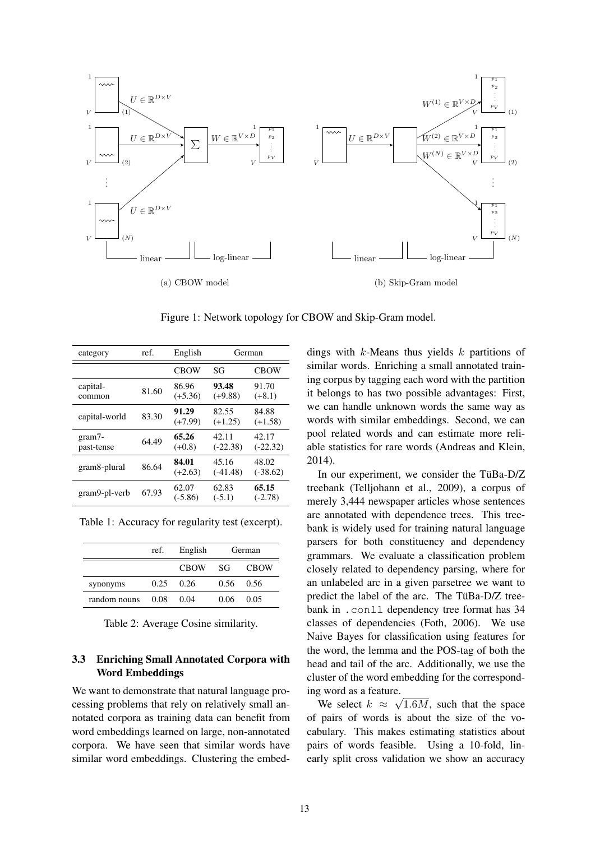

Figure 1: Network topology for CBOW and Skip-Gram model.

| category             | ref.  | English            | German              |                     |
|----------------------|-------|--------------------|---------------------|---------------------|
|                      |       | <b>CBOW</b>        | SG                  | <b>CBOW</b>         |
| capital-<br>common   | 81.60 | 86.96<br>$(+5.36)$ | 93.48<br>$(+9.88)$  | 91.70<br>$(+8.1)$   |
| capital-world        | 83.30 | 91.29<br>$(+7.99)$ | 82.55<br>$(+1.25)$  | 84.88<br>$(+1.58)$  |
| gram7-<br>past-tense | 64.49 | 65.26<br>$(+0.8)$  | 42.11<br>$(-22.38)$ | 42.17<br>$(-22.32)$ |
| gram8-plural         | 86.64 | 84.01<br>$(+2.63)$ | 45.16<br>$(-41.48)$ | 48.02<br>$(-38.62)$ |
| gram9-pl-verb        | 67.93 | 62.07<br>$(-5.86)$ | 62.83<br>$(-5.1)$   | 65.15<br>$(-2.78)$  |

Table 1: Accuracy for regularity test (excerpt).

|              | ref. | English           | German |             |
|--------------|------|-------------------|--------|-------------|
|              |      | <b>CROW</b>       | -SG-   | <b>CBOW</b> |
| synonyms     |      | $0.25 \quad 0.26$ | 0.56   | 0.56        |
| random nouns | 0.08 | 0.04              | 0.06   | 0.05        |

Table 2: Average Cosine similarity.

### 3.3 Enriching Small Annotated Corpora with Word Embeddings

We want to demonstrate that natural language processing problems that rely on relatively small annotated corpora as training data can benefit from word embeddings learned on large, non-annotated corpora. We have seen that similar words have similar word embeddings. Clustering the embeddings with  $k$ -Means thus yields  $k$  partitions of similar words. Enriching a small annotated training corpus by tagging each word with the partition it belongs to has two possible advantages: First, we can handle unknown words the same way as words with similar embeddings. Second, we can pool related words and can estimate more reliable statistics for rare words (Andreas and Klein, 2014).

In our experiment, we consider the TüBa-D/Z treebank (Telljohann et al., 2009), a corpus of merely 3,444 newspaper articles whose sentences are annotated with dependence trees. This treebank is widely used for training natural language parsers for both constituency and dependency grammars. We evaluate a classification problem closely related to dependency parsing, where for an unlabeled arc in a given parsetree we want to predict the label of the arc. The TüBa-D/Z treebank in .conll dependency tree format has 34 classes of dependencies (Foth, 2006). We use Naive Bayes for classification using features for the word, the lemma and the POS-tag of both the head and tail of the arc. Additionally, we use the cluster of the word embedding for the corresponding word as a feature.

We select  $k \approx \sqrt{1.6M}$ , such that the space of pairs of words is about the size of the vocabulary. This makes estimating statistics about pairs of words feasible. Using a 10-fold, linearly split cross validation we show an accuracy